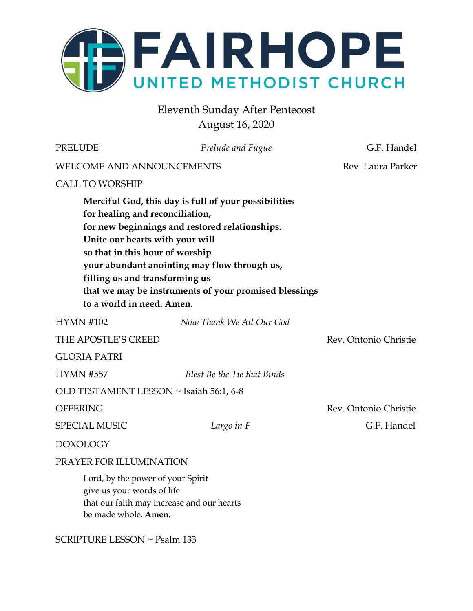

Eleventh Sunday After Pentecost August 16, 2020

| <b>PRELUDE</b>                                                                                                                                                       | Prelude and Fugue                                                                                                                                                                                               | G.F. Handel           |
|----------------------------------------------------------------------------------------------------------------------------------------------------------------------|-----------------------------------------------------------------------------------------------------------------------------------------------------------------------------------------------------------------|-----------------------|
| <b>WELCOME AND ANNOUNCEMENTS</b>                                                                                                                                     |                                                                                                                                                                                                                 | Rev. Laura Parker     |
| <b>CALL TO WORSHIP</b>                                                                                                                                               |                                                                                                                                                                                                                 |                       |
| for healing and reconciliation,<br>Unite our hearts with your will<br>so that in this hour of worship<br>filling us and transforming us<br>to a world in need. Amen. | Merciful God, this day is full of your possibilities<br>for new beginnings and restored relationships.<br>your abundant anointing may flow through us,<br>that we may be instruments of your promised blessings |                       |
| <b>HYMN #102</b>                                                                                                                                                     | Now Thank We All Our God                                                                                                                                                                                        |                       |
| THE APOSTLE'S CREED                                                                                                                                                  |                                                                                                                                                                                                                 | Rev. Ontonio Christie |
| <b>GLORIA PATRI</b>                                                                                                                                                  |                                                                                                                                                                                                                 |                       |
| <b>HYMN #557</b>                                                                                                                                                     | Blest Be the Tie that Binds                                                                                                                                                                                     |                       |
| OLD TESTAMENT LESSON ~ Isaiah 56:1, 6-8                                                                                                                              |                                                                                                                                                                                                                 |                       |
| <b>OFFERING</b>                                                                                                                                                      |                                                                                                                                                                                                                 | Rev. Ontonio Christie |
| <b>SPECIAL MUSIC</b>                                                                                                                                                 | Largo in F                                                                                                                                                                                                      | G.F. Handel           |
| <b>DOXOLOGY</b>                                                                                                                                                      |                                                                                                                                                                                                                 |                       |
| PRAYER FOR ILLUMINATION                                                                                                                                              |                                                                                                                                                                                                                 |                       |
| Lord, by the power of your Spirit<br>give us your words of life<br>be made whole. Amen.                                                                              | that our faith may increase and our hearts                                                                                                                                                                      |                       |
| SCRIPTURE LESSON ~ Psalm 133                                                                                                                                         |                                                                                                                                                                                                                 |                       |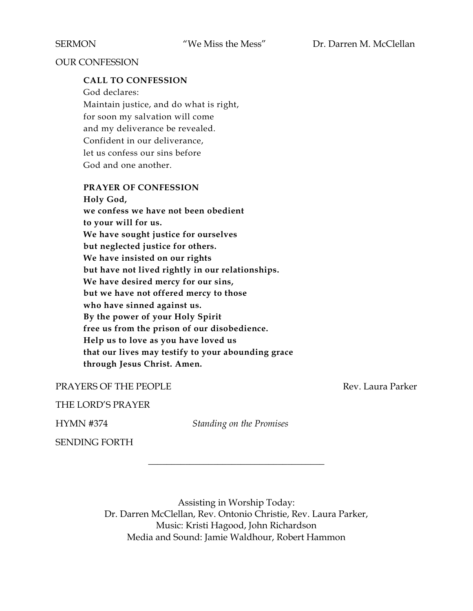#### OUR CONFESSION

#### **CALL TO CONFESSION**

God declares: Maintain justice, and do what is right, for soon my salvation will come and my deliverance be revealed. Confident in our deliverance, let us confess our sins before God and one another.

#### **PRAYER OF CONFESSION**

**Holy God, we confess we have not been obedient to your will for us. We have sought justice for ourselves but neglected justice for others. We have insisted on our rights but have not lived rightly in our relationships. We have desired mercy for our sins, but we have not offered mercy to those who have sinned against us. By the power of your Holy Spirit free us from the prison of our disobedience. Help us to love as you have loved us that our lives may testify to your abounding grace through Jesus Christ. Amen.**

#### PRAYERS OF THE PEOPLE **Rev. Laura Parker**

#### THE LORD'S PRAYER

HYMN #374 *Standing on the Promises*

\_\_\_\_\_\_\_\_\_\_\_\_\_\_\_\_\_\_\_\_\_\_\_\_\_\_\_\_\_\_\_\_\_\_\_\_\_\_

SENDING FORTH

Assisting in Worship Today: Dr. Darren McClellan, Rev. Ontonio Christie, Rev. Laura Parker, Music: Kristi Hagood, John Richardson Media and Sound: Jamie Waldhour, Robert Hammon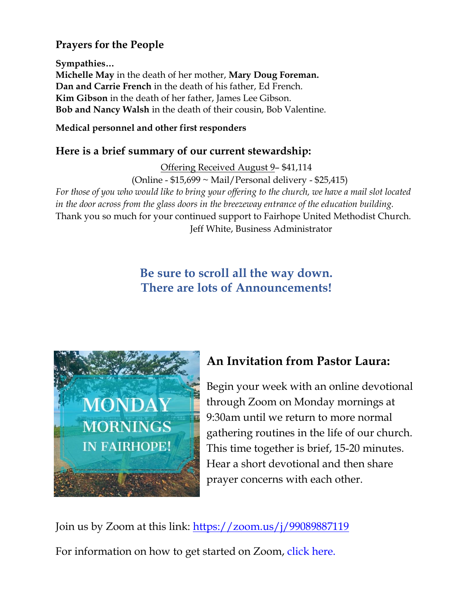## **Prayers for the People**

**Sympathies… Michelle May** in the death of her mother, **Mary Doug Foreman. Dan and Carrie French** in the death of his father, Ed French. **Kim Gibson** in the death of her father, James Lee Gibson. **Bob and Nancy Walsh** in the death of their cousin, Bob Valentine.

### **Medical personnel and other first responders**

## **Here is a brief summary of our current stewardship:**

Offering Received August 9– \$41,114 (Online - \$15,699 ~ Mail/Personal delivery - \$25,415) *For those of you who would like to bring your offering to the church, we have a mail slot located in the door across from the glass doors in the breezeway entrance of the education building.* Thank you so much for your continued support to Fairhope United Methodist Church. Jeff White, Business Administrator

# **Be sure to scroll all the way down. There are lots of Announcements!**



# **An Invitation from Pastor Laura:**

Begin your week with an online devotional through Zoom on Monday mornings at 9:30am until we return to more normal gathering routines in the life of our church. This time together is brief, 15-20 minutes. Hear a short devotional and then share prayer concerns with each other.

Join us by Zoom at this link:<https://zoom.us/j/99089887119> For information on how to get started on Zoom, click here.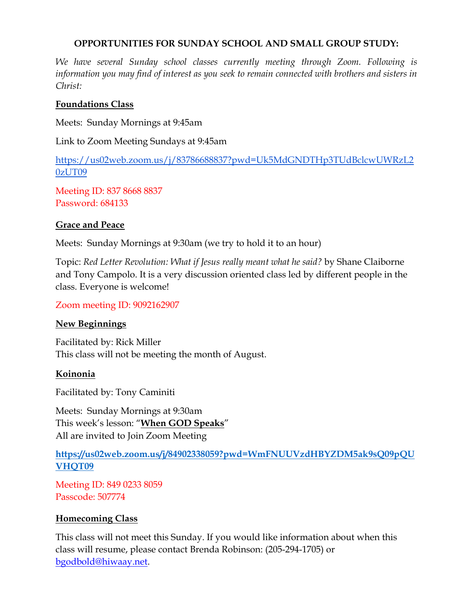### **OPPORTUNITIES FOR SUNDAY SCHOOL AND SMALL GROUP STUDY:**

*We have several Sunday school classes currently meeting through Zoom. Following is information you may find of interest as you seek to remain connected with brothers and sisters in Christ:*

### **Foundations Class**

Meets: Sunday Mornings at 9:45am

Link to Zoom Meeting Sundays at 9:45am

[https://us02web.zoom.us/j/83786688837?pwd=Uk5MdGNDTHp3TUdBclcwUWRzL2](https://us02web.zoom.us/j/83786688837?pwd=Uk5MdGNDTHp3TUdBclcwUWRzL20zUT09) [0zUT09](https://us02web.zoom.us/j/83786688837?pwd=Uk5MdGNDTHp3TUdBclcwUWRzL20zUT09)

Meeting ID: 837 8668 8837 Password: 684133

### **Grace and Peace**

Meets: Sunday Mornings at 9:30am (we try to hold it to an hour)

Topic: *Red Letter Revolution: What if Jesus really meant what he said?* by Shane Claiborne and Tony Campolo. It is a very discussion oriented class led by different people in the class. Everyone is welcome!

### Zoom meeting ID: 9092162907

### **New Beginnings**

Facilitated by: Rick Miller This class will not be meeting the month of August.

### **Koinonia**

Facilitated by: Tony Caminiti

Meets: Sunday Mornings at 9:30am This week's lesson: "**When GOD Speaks**" All are invited to Join Zoom Meeting

**[https://us02web.zoom.us/j/84902338059?pwd=WmFNUUVzdHBYZDM5ak9sQ09pQU](https://us02web.zoom.us/j/84902338059?pwd=WmFNUUVzdHBYZDM5ak9sQ09pQUVHQT09) [VHQT09](https://us02web.zoom.us/j/84902338059?pwd=WmFNUUVzdHBYZDM5ak9sQ09pQUVHQT09)**

Meeting ID: 849 0233 8059 Passcode: 507774

### **Homecoming Class**

This class will not meet this Sunday. If you would like information about when this class will resume, please contact Brenda Robinson: (205-294-1705) or [bgodbold@hiwaay.net.](mailto:bgodbold@hiwaay.net)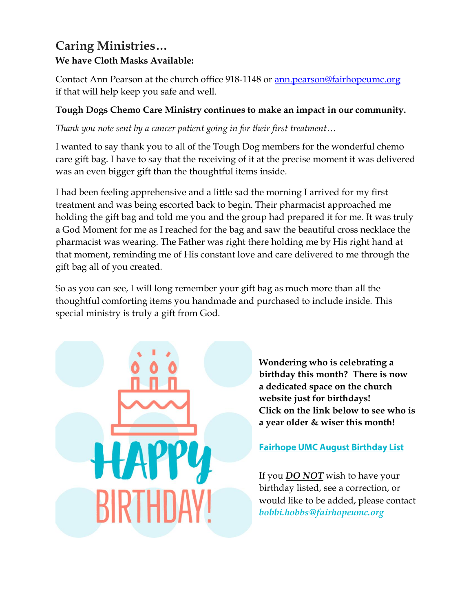## **Caring Ministries… We have Cloth Masks Available:**

Contact Ann Pearson at the church office 918-1148 or [ann.pearson@fairhopeumc.org](mailto:ann.pearson@fairhopeumc.org)  if that will help keep you safe and well.

### **Tough Dogs Chemo Care Ministry continues to make an impact in our community.**

*Thank you note sent by a cancer patient going in for their first treatment…*

I wanted to say thank you to all of the Tough Dog members for the wonderful chemo care gift bag. I have to say that the receiving of it at the precise moment it was delivered was an even bigger gift than the thoughtful items inside.

I had been feeling apprehensive and a little sad the morning I arrived for my first treatment and was being escorted back to begin. Their pharmacist approached me holding the gift bag and told me you and the group had prepared it for me. It was truly a God Moment for me as I reached for the bag and saw the beautiful cross necklace the pharmacist was wearing. The Father was right there holding me by His right hand at that moment, reminding me of His constant love and care delivered to me through the gift bag all of you created.

So as you can see, I will long remember your gift bag as much more than all the thoughtful comforting items you handmade and purchased to include inside. This special ministry is truly a gift from God.



**Wondering who is celebrating a birthday this month? There is now a dedicated space on the church website just for birthdays! Click on the link below to see who is a year older & wiser this month!**

### **Fairhope UMC August Birthday List**

If you *DO NOT* wish to have your birthday listed, see a correction, or would like to be added, please contact *[bobbi.hobbs@fairhopeumc.org](mailto:bobbi.hobbs@fairhopeumc.org)*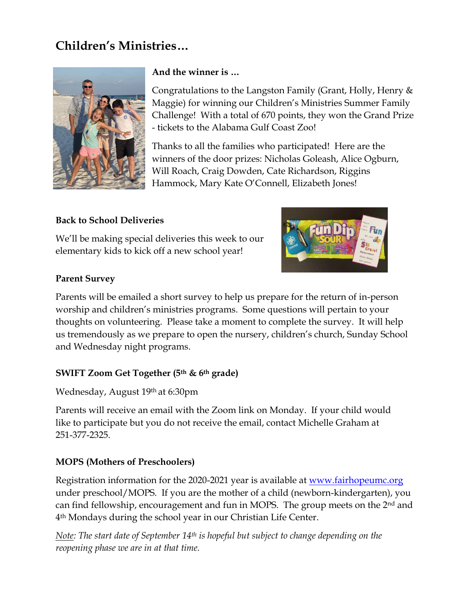# **Children's Ministries…**



### **And the winner is …**

Congratulations to the Langston Family (Grant, Holly, Henry & Maggie) for winning our Children's Ministries Summer Family Challenge! With a total of 670 points, they won the Grand Prize - tickets to the Alabama Gulf Coast Zoo!

Thanks to all the families who participated! Here are the winners of the door prizes: Nicholas Goleash, Alice Ogburn, Will Roach, Craig Dowden, Cate Richardson, Riggins Hammock, Mary Kate O'Connell, Elizabeth Jones!

### **Back to School Deliveries**

We'll be making special deliveries this week to our elementary kids to kick off a new school year!



### **Parent Survey**

Parents will be emailed a short survey to help us prepare for the return of in-person worship and children's ministries programs. Some questions will pertain to your thoughts on volunteering. Please take a moment to complete the survey. It will help us tremendously as we prepare to open the nursery, children's church, Sunday School and Wednesday night programs.

### **SWIFT Zoom Get Together (5th & 6th grade)**

Wednesday, August 19th at 6:30pm

Parents will receive an email with the Zoom link on Monday. If your child would like to participate but you do not receive the email, contact Michelle Graham at 251-377-2325.

### **MOPS (Mothers of Preschoolers)**

Registration information for the 2020-2021 year is available at [www.fairhopeumc.org](http://www.fairhopeumc.org/) under preschool/MOPS. If you are the mother of a child (newborn-kindergarten), you can find fellowship, encouragement and fun in MOPS. The group meets on the 2nd and 4th Mondays during the school year in our Christian Life Center.

*Note: The start date of September 14th is hopeful but subject to change depending on the reopening phase we are in at that time.*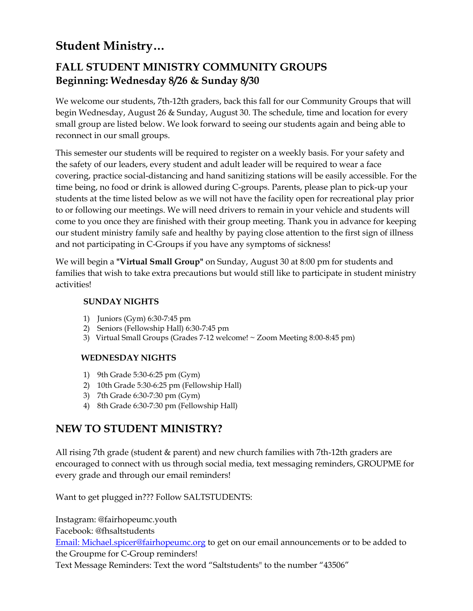# **Student Ministry…**

# **FALL STUDENT MINISTRY COMMUNITY GROUPS Beginning: Wednesday 8/26 & Sunday 8/30**

We welcome our students, 7th-12th graders, back this fall for our Community Groups that will begin Wednesday, August 26 & Sunday, August 30. The schedule, time and location for every small group are listed below. We look forward to seeing our students again and being able to reconnect in our small groups.

This semester our students will be required to register on a weekly basis. For your safety and the safety of our leaders, every student and adult leader will be required to wear a face covering, practice social-distancing and hand sanitizing stations will be easily accessible. For the time being, no food or drink is allowed during C-groups. Parents, please plan to pick-up your students at the time listed below as we will not have the facility open for recreational play prior to or following our meetings. We will need drivers to remain in your vehicle and students will come to you once they are finished with their group meeting. Thank you in advance for keeping our student ministry family safe and healthy by paying close attention to the first sign of illness and not participating in C-Groups if you have any symptoms of sickness!

We will begin a **"Virtual Small Group"** on Sunday, August 30 at 8:00 pm for students and families that wish to take extra precautions but would still like to participate in student ministry activities!

### **SUNDAY NIGHTS**

- 1) Juniors (Gym) 6:30-7:45 pm
- 2) Seniors (Fellowship Hall) 6:30-7:45 pm
- 3) Virtual Small Groups (Grades 7-12 welcome! ~ Zoom Meeting 8:00-8:45 pm)

### **WEDNESDAY NIGHTS**

- 1) 9th Grade 5:30-6:25 pm (Gym)
- 2) 10th Grade 5:30-6:25 pm (Fellowship Hall)
- 3) 7th Grade 6:30-7:30 pm (Gym)
- 4) 8th Grade 6:30-7:30 pm (Fellowship Hall)

## **NEW TO STUDENT MINISTRY?**

All rising 7th grade (student & parent) and new church families with 7th-12th graders are encouraged to connect with us through social media, text messaging reminders, GROUPME for every grade and through our email reminders!

Want to get plugged in??? Follow SALTSTUDENTS:

Instagram: @fairhopeumc.youth Facebook: @fhsaltstudents

[Email: Michael.spicer@fairhopeumc.org](mailto:Michael.spicer@fairhopeumc.org) to get on our email announcements or to be added to the Groupme for C-Group reminders!

Text Message Reminders: Text the word "Saltstudents" to the number "43506"